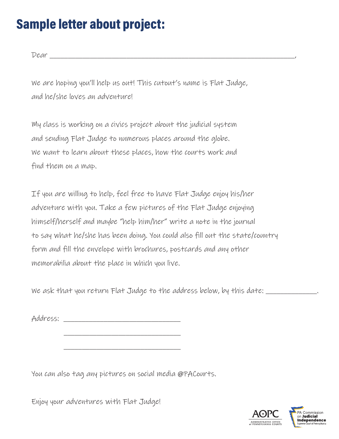## **Sample letter about project:**

Dear \_\_\_\_\_\_\_\_\_\_\_\_\_\_\_\_\_\_\_\_\_\_\_\_\_\_\_\_\_\_\_\_\_\_\_\_\_\_\_\_\_\_\_\_\_\_\_\_\_\_\_\_\_\_\_\_\_\_\_\_\_\_\_\_\_\_\_,

We are hoping you'll help us out! This cutout's name is Flat Judge, and he/she loves an adventure!

My class is working on a civics project about the judicial system and sending Flat Judge to numerous places around the globe. We want to learn about these places, how the courts work and find them on a map.

If you are willing to help, feel free to have Flat Judge enjoy his/her adventure with you. Take a few pictures of the Flat Judge enjoying himself/herself and maybe "help him/her" write a note in the journal to say what he/she has been doing. You could also fill out the state/country form and fill the envelope with brochures, postcards and any other memorabilia about the place in which you live.

We ask that you return Flat Judge to the address below, by this date: \_\_\_\_\_\_\_\_\_\_

Address: \_\_\_\_\_\_\_\_\_\_\_\_\_\_\_\_\_\_\_\_\_\_\_\_\_\_\_\_\_\_\_\_

 $\frac{1}{2}$  ,  $\frac{1}{2}$  ,  $\frac{1}{2}$  ,  $\frac{1}{2}$  ,  $\frac{1}{2}$  ,  $\frac{1}{2}$  ,  $\frac{1}{2}$  ,  $\frac{1}{2}$  ,  $\frac{1}{2}$  ,  $\frac{1}{2}$  ,  $\frac{1}{2}$  ,  $\frac{1}{2}$  ,  $\frac{1}{2}$  ,  $\frac{1}{2}$  ,  $\frac{1}{2}$  ,  $\frac{1}{2}$  ,  $\frac{1}{2}$  ,  $\frac{1}{2}$  ,  $\frac{1$ 

 $\frac{1}{2}$  ,  $\frac{1}{2}$  ,  $\frac{1}{2}$  ,  $\frac{1}{2}$  ,  $\frac{1}{2}$  ,  $\frac{1}{2}$  ,  $\frac{1}{2}$  ,  $\frac{1}{2}$  ,  $\frac{1}{2}$  ,  $\frac{1}{2}$  ,  $\frac{1}{2}$  ,  $\frac{1}{2}$  ,  $\frac{1}{2}$  ,  $\frac{1}{2}$  ,  $\frac{1}{2}$  ,  $\frac{1}{2}$  ,  $\frac{1}{2}$  ,  $\frac{1}{2}$  ,  $\frac{1$ 

You can also tag any pictures on social media @PACourts.

Enjoy your adventures with Flat Judge!

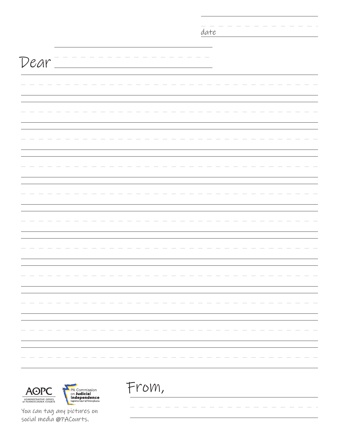|                                                                                                         | date  |
|---------------------------------------------------------------------------------------------------------|-------|
|                                                                                                         |       |
|                                                                                                         |       |
| Dear                                                                                                    |       |
|                                                                                                         |       |
|                                                                                                         |       |
|                                                                                                         |       |
|                                                                                                         |       |
|                                                                                                         |       |
|                                                                                                         |       |
|                                                                                                         |       |
|                                                                                                         |       |
|                                                                                                         |       |
|                                                                                                         |       |
|                                                                                                         |       |
|                                                                                                         |       |
|                                                                                                         |       |
|                                                                                                         |       |
|                                                                                                         |       |
|                                                                                                         |       |
|                                                                                                         |       |
|                                                                                                         |       |
|                                                                                                         |       |
|                                                                                                         |       |
|                                                                                                         |       |
|                                                                                                         |       |
|                                                                                                         |       |
|                                                                                                         |       |
|                                                                                                         |       |
|                                                                                                         |       |
|                                                                                                         |       |
|                                                                                                         |       |
|                                                                                                         |       |
|                                                                                                         |       |
|                                                                                                         |       |
|                                                                                                         | From, |
| <b>AOPC</b><br><b>PA Commission<br/> on Judicial<br/> Independence</b><br>Supreme Court of Pennsylvania |       |
| ADMINISTRATIVE OFFICE<br>of PENNSYLVANIA COURTS                                                         |       |

You can tag any pictures on social media @PACourts.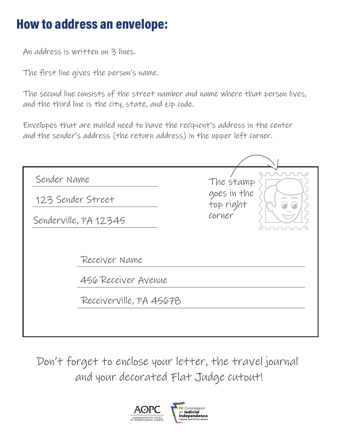## **How to address an envelope:**

An address is written on 3 lines.

The first line gives the person's name.

The second line consists of the street number and name where that person lives, and the third line is the city, state, and zip code.

Envelopes that are mailed need to have the recipient's address in the center and the sender's address (the return address) in the upper left corner.

| Sender Name                                                     | The stamp<br>goes in the<br>top right<br>corner |
|-----------------------------------------------------------------|-------------------------------------------------|
| 123 Sender Street                                               |                                                 |
| Senderville, PA 12345                                           |                                                 |
| Receiver Name<br>456 Receiver Avenue<br>Receiverville, PA 45678 |                                                 |

Don't forget to enclose your letter, the travel journal and your decorated Flat Judge cutout!